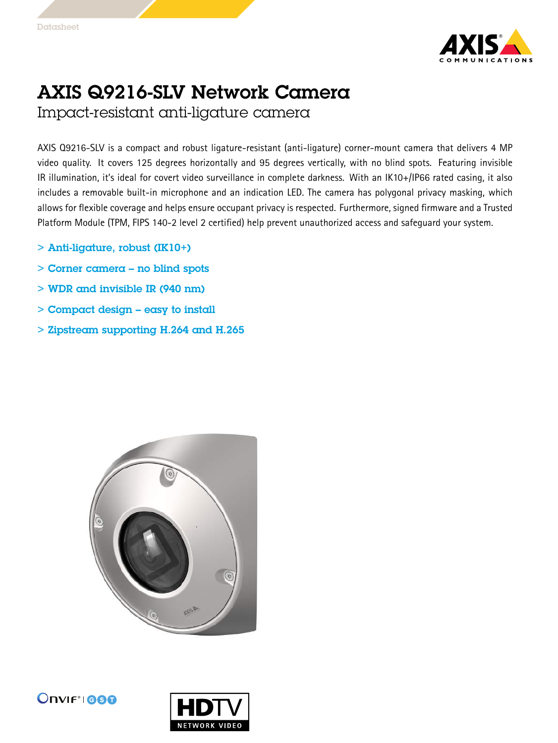

## AXIS Q9216-SLV Network Camera

Impact-resistant anti-ligature camera

AXIS Q9216-SLV is <sup>a</sup> compact and robust ligature-resistant (anti-ligature) corner-mount camera that delivers <sup>4</sup> MP video quality. It covers 125 degrees horizontally and 95 degrees vertically, with no blind spots. Featuring invisible IR illumination, it's ideal for covert video surveillance in complete darkness. With an IK10+/IP66 rated casing, it also includes <sup>a</sup> removable built-in microphone and an indication LED. The camera has polygonal privacy masking, which allows for flexible coverage and helps ensure occupant privacy is respected. Furthermore, signed firmware and <sup>a</sup> Trusted Platform Module (TPM, FIPS 140-2 level <sup>2</sup> certified) help prevent unauthorized access and safeguard your system.

- > Anti-ligature, robust (IK10+)
- > Corner camera no blind spots
- > WDR and invisible IR (940 nm)
- $>$  Compact design easy to install
- > Zipstream supporting H.264 and H.265





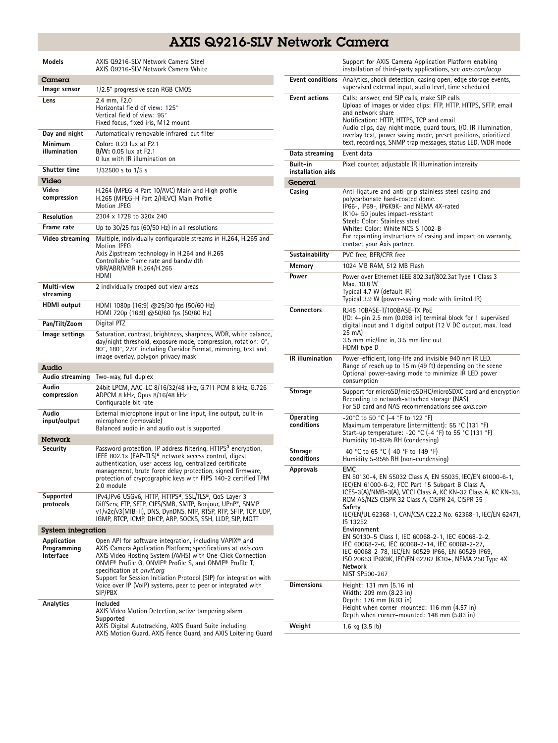## AXIS Q9216-SLV Network Camera

<span id="page-1-0"></span>

| Models                                  | AXIS Q9216-SLV Network Camera Steel<br>AXIS Q9216-SLV Network Camera White                                                                                                                                                                                                                                                                                                                                                                                                         |  |
|-----------------------------------------|------------------------------------------------------------------------------------------------------------------------------------------------------------------------------------------------------------------------------------------------------------------------------------------------------------------------------------------------------------------------------------------------------------------------------------------------------------------------------------|--|
| Camera                                  |                                                                                                                                                                                                                                                                                                                                                                                                                                                                                    |  |
| Image sensor                            | 1/2.5" progressive scan RGB CMOS                                                                                                                                                                                                                                                                                                                                                                                                                                                   |  |
| Lens                                    | 2.4 mm, F2.0<br>Horizontal field of view: 125°<br>Vertical field of view: 95°<br>Fixed focus, fixed iris, M12 mount                                                                                                                                                                                                                                                                                                                                                                |  |
| Day and night                           | Automatically removable infrared-cut filter                                                                                                                                                                                                                                                                                                                                                                                                                                        |  |
| Minimum<br>illumination                 | Color: 0.23 lux at F2.1<br><b>B/W: 0.05 lux at F2.1</b><br>0 lux with IR illumination on                                                                                                                                                                                                                                                                                                                                                                                           |  |
| <b>Shutter time</b>                     | $1/32500$ s to $1/5$ s                                                                                                                                                                                                                                                                                                                                                                                                                                                             |  |
| Video                                   |                                                                                                                                                                                                                                                                                                                                                                                                                                                                                    |  |
| Video<br>compression                    | H.264 (MPEG-4 Part 10/AVC) Main and High profile<br>H.265 (MPEG-H Part 2/HEVC) Main Profile<br><b>Motion JPEG</b>                                                                                                                                                                                                                                                                                                                                                                  |  |
| Resolution                              | 2304 x 1728 to 320x 240                                                                                                                                                                                                                                                                                                                                                                                                                                                            |  |
| Frame rate                              | Up to $30/25$ fps $(60/50$ Hz) in all resolutions                                                                                                                                                                                                                                                                                                                                                                                                                                  |  |
| Video streaming                         | Multiple, individually configurable streams in H.264, H.265 and<br>Motion JPEG<br>Axis Zipstream technology in H.264 and H.265<br>Controllable frame rate and bandwidth<br>VBR/ABR/MBR H.264/H.265<br>HDMI                                                                                                                                                                                                                                                                         |  |
| Multi-view<br>streaming                 | 2 individually cropped out view areas                                                                                                                                                                                                                                                                                                                                                                                                                                              |  |
| <b>HDMI</b> output                      | HDMI 1080p (16:9) @25/30 fps (50/60 Hz)<br>HDMI 720p (16:9) @ 50/60 fps (50/60 Hz)                                                                                                                                                                                                                                                                                                                                                                                                 |  |
| Pan/Tilt/Zoom                           | Digital PTZ                                                                                                                                                                                                                                                                                                                                                                                                                                                                        |  |
| Image settings                          | Saturation, contrast, brightness, sharpness, WDR, white balance,<br>day/night threshold, exposure mode, compression, rotation: 0°,<br>90°, 180°, 270° including Corridor Format, mirroring, text and<br>image overlay, polygon privacy mask                                                                                                                                                                                                                                        |  |
| Audio                                   |                                                                                                                                                                                                                                                                                                                                                                                                                                                                                    |  |
| Audio streaming                         | Two-way, full duplex                                                                                                                                                                                                                                                                                                                                                                                                                                                               |  |
| Audio<br>compression                    | 24bit LPCM, AAC-LC 8/16/32/48 kHz, G.711 PCM 8 kHz, G.726<br>ADPCM 8 kHz, Opus 8/16/48 kHz<br>Configurable bit rate                                                                                                                                                                                                                                                                                                                                                                |  |
| Audio<br>input/output                   | External microphone input or line input, line output, built-in<br>microphone (removable)<br>Balanced audio in and audio out is supported                                                                                                                                                                                                                                                                                                                                           |  |
| Network                                 |                                                                                                                                                                                                                                                                                                                                                                                                                                                                                    |  |
| Security                                | Password protection, IP address filtering, HTTPS <sup>a</sup> encryption,<br>IEEE 802.1x (EAP-TLS) <sup>a</sup> network access control, digest<br>authentication, user access log, centralized certificate<br>management, brute force delay protection, signed firmware,<br>protection of cryptographic keys with FIPS 140-2 certified TPM<br>2.0 module                                                                                                                           |  |
| Supported<br>protocols                  | IPv4, IPv6 USGv6, HTTP, HTTPS <sup>a</sup> , SSL/TLS <sup>a</sup> , QoS Layer 3<br>DiffServ, FTP, SFTP, CIFS/SMB, SMTP, Bonjour, UPnP®, SNMP<br>v1/v2c/v3(MIB-II), DNS, DynDNS, NTP, RTSP, RTP, SFTP, TCP, UDP,<br>IGMP, RTCP, ICMP, DHCP, ARP, SOCKS, SSH, LLDP, SIP, MQTT                                                                                                                                                                                                        |  |
| System integration                      |                                                                                                                                                                                                                                                                                                                                                                                                                                                                                    |  |
| Application<br>Programming<br>Interface | Open API for software integration, including VAPIX <sup>®</sup> and<br>AXIS Camera Application Platform; specifications at axis.com<br>AXIS Video Hosting System (AVHS) with One-Click Connection<br>ONVIF <sup>®</sup> Profile G, ONVIF <sup>®</sup> Profile S, and ONVIF <sup>®</sup> Profile T,<br>specification at onvif.org<br>Support for Session Initiation Protocol (SIP) for integration with<br>Voice over IP (VoIP) systems, peer to peer or integrated with<br>SIP/PBX |  |
| Analytics                               | Included<br>AXIS Video Motion Detection, active tampering alarm<br>Supported<br>AXIS Digital Autotracking, AXIS Guard Suite including<br>AXIS Motion Guard, AXIS Fence Guard, and AXIS Loitering Guard                                                                                                                                                                                                                                                                             |  |

|                               | Support for AXIS Camera Application Platform enabling<br>installation of third-party applications, see <i>axis.com/acap</i>                                                                                                                                                                                                                                                                                                                                                                                                                                                                            |
|-------------------------------|--------------------------------------------------------------------------------------------------------------------------------------------------------------------------------------------------------------------------------------------------------------------------------------------------------------------------------------------------------------------------------------------------------------------------------------------------------------------------------------------------------------------------------------------------------------------------------------------------------|
|                               | Event conditions Analytics, shock detection, casing open, edge storage events,<br>supervised external input, audio level, time scheduled                                                                                                                                                                                                                                                                                                                                                                                                                                                               |
| <b>Event actions</b>          | Calls: answer, end SIP calls, make SIP calls<br>Upload of images or video clips: FTP, HTTP, HTTPS, SFTP, email<br>and network share<br>Notification: HTTP, HTTPS, TCP and email<br>Audio clips, day-night mode, quard tours, I/O, IR illumination,<br>overlay text, power saving mode, preset positions, prioritized<br>text, recordings, SNMP trap messages, status LED, WDR mode                                                                                                                                                                                                                     |
| Data streaming                | Event data                                                                                                                                                                                                                                                                                                                                                                                                                                                                                                                                                                                             |
| Built-in<br>installation aids | Pixel counter, adjustable IR illumination intensity                                                                                                                                                                                                                                                                                                                                                                                                                                                                                                                                                    |
| General                       |                                                                                                                                                                                                                                                                                                                                                                                                                                                                                                                                                                                                        |
| Casing                        | Anti-ligature and anti-grip stainless steel casing and<br>polycarbonate hard-coated dome.<br>IP66-, IP69-, IP6K9K- and NEMA 4X-rated<br>IK10+ 50 joules impact-resistant<br>Steel: Color: Stainless steel<br>White: Color: White NCS S 1002-B<br>For repainting instructions of casing and impact on warranty,<br>contact your Axis partner.                                                                                                                                                                                                                                                           |
| Sustainability                | PVC free, BFR/CFR free                                                                                                                                                                                                                                                                                                                                                                                                                                                                                                                                                                                 |
| Memory                        | 1024 MB RAM, 512 MB Flash                                                                                                                                                                                                                                                                                                                                                                                                                                                                                                                                                                              |
| Power                         | Power over Ethernet IEEE 802.3af/802.3at Type 1 Class 3<br>Max. 10.8 W<br>Typical 4.7 W (default IR)<br>Typical 3.9 W (power-saving mode with limited IR)                                                                                                                                                                                                                                                                                                                                                                                                                                              |
| Connectors                    | RJ45 10BASE-T/100BASE-TX PoE<br>$1/0$ : 4-pin 2.5 mm (0.098 in) terminal block for 1 supervised<br>digital input and 1 digital output (12 V DC output, max. load<br>25 mA)<br>3.5 mm mic/line in, 3.5 mm line out<br>HDMI type D                                                                                                                                                                                                                                                                                                                                                                       |
| <b>IR</b> illumination        | Power-efficient, long-life and invisible 940 nm IR LED.<br>Range of reach up to 15 m (49 ft) depending on the scene<br>Optional power-saving mode to minimize IR LED power<br>consumption                                                                                                                                                                                                                                                                                                                                                                                                              |
| Storage                       | Support for microSD/microSDHC/microSDXC card and encryption<br>Recording to network-attached storage (NAS)<br>For SD card and NAS recommendations see axis.com                                                                                                                                                                                                                                                                                                                                                                                                                                         |
| Operating<br>conditions       | -20°C to 50 °C (-4 °F to 122 °F)<br>Maximum temperature (intermittent): 55 °C (131 °F)<br>Start-up temperature: -20 °C (-4 °F) to 55 °C (131 °F)<br>Humidity 10-85% RH (condensing)                                                                                                                                                                                                                                                                                                                                                                                                                    |
| Storage<br>conditions         | -40 °C to 65 °C (-40 °F to 149 °F)<br>Humidity 5-95% RH (non-condensing)                                                                                                                                                                                                                                                                                                                                                                                                                                                                                                                               |
| <b>Approvals</b>              | <b>EMC</b><br>EN 50130-4, EN 55032 Class A, EN 55035, IEC/EN 61000-6-1,<br>IEC/EN 61000-6-2, FCC Part 15 Subpart B Class A,<br>ICES-3(A)/NMB-3(A), VCCI Class A, KC KN-32 Class A, KC KN-35,<br>RCM AS/NZS CISPR 32 Class A, CISPR 24, CISPR 35<br>Safety<br>IEC/EN/UL 62368-1, CAN/CSA C22.2 No. 62368-1, IEC/EN 62471,<br>IS 13252<br>Environment<br>EN 50130-5 Class I, IEC 60068-2-1, IEC 60068-2-2,<br>IEC 60068-2-6, IEC 60068-2-14, IEC 60068-2-27,<br>IEC 60068-2-78, IEC/EN 60529 IP66, EN 60529 IP69,<br>ISO 20653 IP6K9K, IEC/EN 62262 IK10+, NEMA 250 Type 4X<br>Network<br>NIST SP500-267 |
| <b>Dimensions</b>             | Height: 131 mm (5.16 in)<br>Width: 209 mm (8.23 in)<br>Depth: 176 mm (6.93 in)<br>Height when corner–mounted: 116 mm (4.57 in)                                                                                                                                                                                                                                                                                                                                                                                                                                                                         |
|                               | Depth when corner-mounted: 148 mm (5.83 in)                                                                                                                                                                                                                                                                                                                                                                                                                                                                                                                                                            |
| Weight                        | 1.6 kg (3.5 lb)                                                                                                                                                                                                                                                                                                                                                                                                                                                                                                                                                                                        |